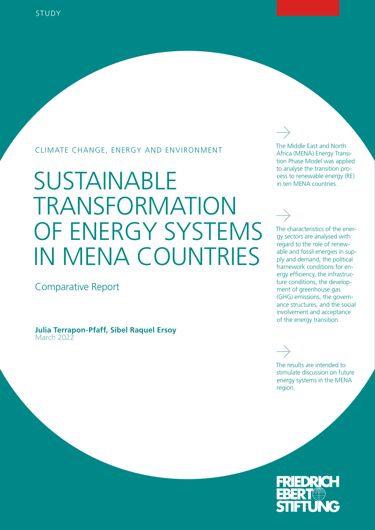### CLIMATE CHANGE, ENERGY AND ENVIRONMENT

# SUSTAINABLE TRANSFORMATION OF ENERGY SYSTEMS IN MENA COUNTRIES

Comparative Report

**Julia Terrapon-Pfaff, Sibel Raquel Ersoy** March 2022

The Middle East and North Africa (MENA) Energy Transition Phase Model was applied to analyse the transition process to renewable energy (RE) in ten MENA countries.

The characteristics of the energy sectors are analysed with regard to the role of renewable and fossil energies in supply and demand, the political framework conditions for energy efficiency, the infrastructure conditions, the development of greenhouse gas (GHG) emissions, the governance structures, and the social involvement and acceptance of the energy transition.

The results are intended to stimulate discussion on future energy systems in the MENA region.

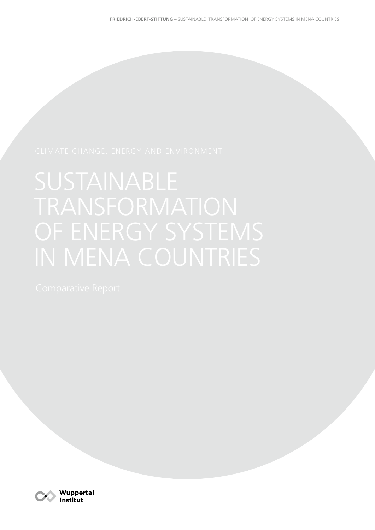

Wuppertal Institut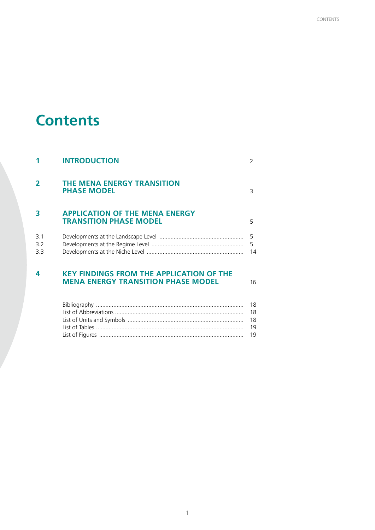## **Contents**

| 4                 | <b>KEY FINDINGS FROM THE APPLICATION OF THE</b><br><b>MENA ENERGY TRANSITION PHASE MODEL</b> | 16            |
|-------------------|----------------------------------------------------------------------------------------------|---------------|
| 3.1<br>3.2<br>3.3 |                                                                                              | 5<br>5<br>14  |
| 3                 | <b>APPLICATION OF THE MENA ENERGY</b><br><b>TRANSITION PHASE MODEL</b>                       | 5             |
| $\overline{2}$    | THE MENA ENERGY TRANSITION<br><b>PHASE MODEL</b>                                             | 3             |
|                   | <b>INTRODUCTION</b>                                                                          | $\mathcal{P}$ |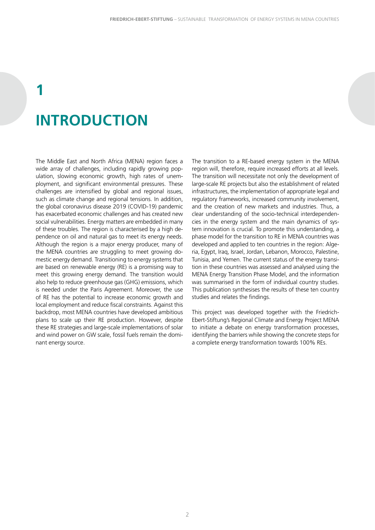# <span id="page-3-0"></span>**1 INTRODUCTION**

The Middle East and North Africa (MENA) region faces a wide array of challenges, including rapidly growing population, slowing economic growth, high rates of unemployment, and significant environmental pressures. These challenges are intensified by global and regional issues, such as climate change and regional tensions. In addition, the global coronavirus disease 2019 (COVID-19) pandemic has exacerbated economic challenges and has created new social vulnerabilities. Energy matters are embedded in many of these troubles. The region is characterised by a high dependence on oil and natural gas to meet its energy needs. Although the region is a major energy producer, many of the MENA countries are struggling to meet growing domestic energy demand. Transitioning to energy systems that are based on renewable energy (RE) is a promising way to meet this growing energy demand. The transition would also help to reduce greenhouse gas (GHG) emissions, which is needed under the Paris Agreement. Moreover, the use of RE has the potential to increase economic growth and local employment and reduce fiscal constraints. Against this backdrop, most MENA countries have developed ambitious plans to scale up their RE production. However, despite these RE strategies and large-scale implementations of solar and wind power on GW scale, fossil fuels remain the dominant energy source.

The transition to a RE-based energy system in the MENA region will, therefore, require increased efforts at all levels. The transition will necessitate not only the development of large-scale RE projects but also the establishment of related infrastructures, the implementation of appropriate legal and regulatory frameworks, increased community involvement, and the creation of new markets and industries. Thus, a clear understanding of the socio-technical interdependencies in the energy system and the main dynamics of system innovation is crucial. To promote this understanding, a phase model for the transition to RE in MENA countries was developed and applied to ten countries in the region: Algeria, Egypt, Iraq, Israel, Jordan, Lebanon, Morocco, Palestine, Tunisia, and Yemen. The current status of the energy transition in these countries was assessed and analysed using the MENA Energy Transition Phase Model, and the information was summarised in the form of individual country studies. This publication synthesises the results of these ten country studies and relates the findings.

This project was developed together with the Friedrich-Ebert-Stiftung's Regional Climate and Energy Project MENA to initiate a debate on energy transformation processes, identifying the barriers while showing the concrete steps for a complete energy transformation towards 100% REs.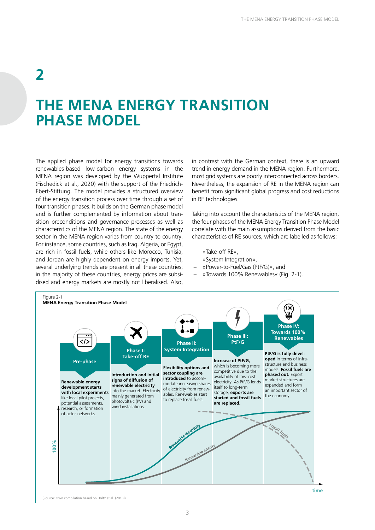### <span id="page-4-0"></span>**2**

## **THE MENA ENERGY TRANSITION PHASE MODEL**

The applied phase model for energy transitions towards renewables-based low-carbon energy systems in the MENA region was developed by the Wuppertal Institute (Fischedick et al., 2020) with the support of the Friedrich-Ebert-Stiftung. The model provides a structured overview of the energy transition process over time through a set of four transition phases. It builds on the German phase model and is further complemented by information about transition preconditions and governance processes as well as characteristics of the MENA region. The state of the energy sector in the MENA region varies from country to country. For instance, some countries, such as Iraq, Algeria, or Egypt, are rich in fossil fuels, while others like Morocco, Tunisia, and Jordan are highly dependent on energy imports. Yet, several underlying trends are present in all these countries; in the majority of these countries, energy prices are subsidised and energy markets are mostly not liberalised. Also,

in contrast with the German context, there is an upward trend in energy demand in the MENA region. Furthermore, most grid systems are poorly interconnected across borders. Nevertheless, the expansion of RE in the MENA region can benefit from significant global progress and cost reductions in RE technologies.

Taking into account the characteristics of the MENA region, the four phases of the MENA Energy Transition Phase Model correlate with the main assumptions derived from the basic characteristics of RE sources, which are labelled as follows:

- »Take-off RE«,
- »System Integration«,
- »Power-to-Fuel/Gas (PtF/G)«, and
- »Towards 100% Renewables« (Fig. 2-1).

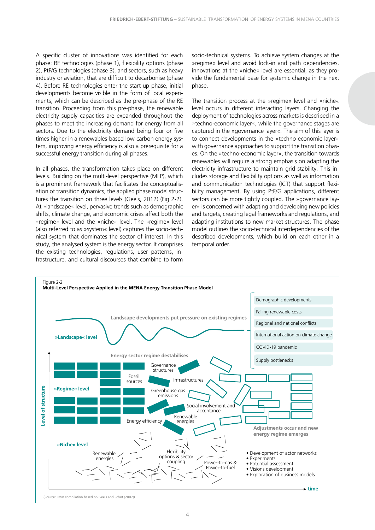<span id="page-5-0"></span>A specific cluster of innovations was identified for each phase: RE technologies (phase 1), flexibility options (phase 2), PtF/G technologies (phase 3), and sectors, such as heavy industry or aviation, that are difficult to decarbonise (phase 4). Before RE technologies enter the start-up phase, initial developments become visible in the form of local experiments, which can be described as the pre-phase of the RE transition. Proceeding from this pre-phase, the renewable electricity supply capacities are expanded throughout the phases to meet the increasing demand for energy from all sectors. Due to the electricity demand being four or five times higher in a renewables-based low-carbon energy system, improving energy efficiency is also a prerequisite for a successful energy transition during all phases.

In all phases, the transformation takes place on different levels. Building on the multi-level perspective (MLP), which is a prominent framework that facilitates the conceptualisation of transition dynamics, the applied phase model structures the transition on three levels (Geels, 2012) (Fig 2-2). At »landscape« level, pervasive trends such as demographic shifts, climate change, and economic crises affect both the »regime« level and the »niche« level. The »regime« level (also referred to as »system« level) captures the socio-technical system that dominates the sector of interest. In this study, the analysed system is the energy sector. It comprises the existing technologies, regulations, user patterns, infrastructure, and cultural discourses that combine to form

socio-technical systems. To achieve system changes at the »regime« level and avoid lock-in and path dependencies, innovations at the »niche« level are essential, as they provide the fundamental base for systemic change in the next phase.

The transition process at the »regime« level and »niche« level occurs in different interacting layers. Changing the deployment of technologies across markets is described in a »techno-economic layer«, while the governance stages are captured in the »governance layer«. The aim of this layer is to connect developments in the »techno-economic layer« with governance approaches to support the transition phases. On the »techno-economic layer«, the transition towards renewables will require a strong emphasis on adapting the electricity infrastructure to maintain grid stability. This includes storage and flexibility options as well as information and communication technologies (ICT) that support flexibility management. By using PtF/G applications, different sectors can be more tightly coupled. The »governance layer« is concerned with adapting and developing new policies and targets, creating legal frameworks and regulations, and adapting institutions to new market structures. The phase model outlines the socio-technical interdependencies of the described developments, which build on each other in a temporal order.

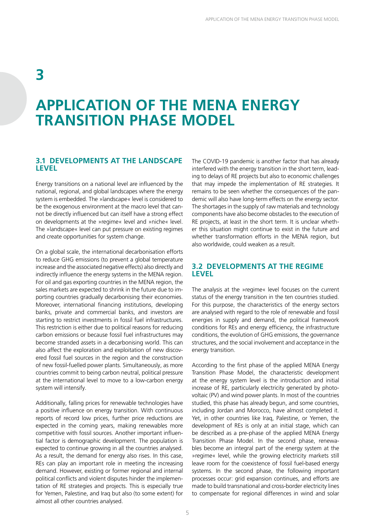### <span id="page-6-0"></span>**3**

## **APPLICATION OF THE MENA ENERGY TRANSITION PHASE MODEL**

#### **3.1 DEVELOPMENTS AT THE LANDSCAPE LEVEL**

Energy transitions on a national level are influenced by the national, regional, and global landscapes where the energy system is embedded. The »landscape« level is considered to be the exogenous environment at the macro level that cannot be directly influenced but can itself have a strong effect on developments at the »regime« level and »niche« level. The »landscape« level can put pressure on existing regimes and create opportunities for system change.

On a global scale, the international decarbonisation efforts to reduce GHG emissions (to prevent a global temperature increase and the associated negative effects) also directly and indirectly influence the energy systems in the MENA region. For oil and gas exporting countries in the MENA region, the sales markets are expected to shrink in the future due to importing countries gradually decarbonising their economies. Moreover, international financing institutions, developing banks, private and commercial banks, and investors are starting to restrict investments in fossil fuel infrastructures. This restriction is either due to political reasons for reducing carbon emissions or because fossil fuel infrastructures may become stranded assets in a decarbonising world. This can also affect the exploration and exploitation of new discovered fossil fuel sources in the region and the construction of new fossil-fuelled power plants. Simultaneously, as more countries commit to being carbon neutral, political pressure at the international level to move to a low-carbon energy system will intensify.

Additionally, falling prices for renewable technologies have a positive influence on energy transition. With continuous reports of record low prices, further price reductions are expected in the coming years, making renewables more competitive with fossil sources. Another important influential factor is demographic development. The population is expected to continue growing in all the countries analysed. As a result, the demand for energy also rises. In this case, REs can play an important role in meeting the increasing demand. However, existing or former regional and internal political conflicts and violent disputes hinder the implementation of RE strategies and projects. This is especially true for Yemen, Palestine, and Iraq but also (to some extent) for almost all other countries analysed.

The COVID-19 pandemic is another factor that has already interfered with the energy transition in the short term, leading to delays of RE projects but also to economic challenges that may impede the implementation of RE strategies. It remains to be seen whether the consequences of the pandemic will also have long-term effects on the energy sector. The shortages in the supply of raw materials and technology components have also become obstacles to the execution of RE projects, at least in the short term. It is unclear whether this situation might continue to exist in the future and whether transformation efforts in the MENA region, but also worldwide, could weaken as a result.

#### **3.2 DEVELOPMENTS AT THE REGIME LEVEL**

The analysis at the »regime« level focuses on the current status of the energy transition in the ten countries studied. For this purpose, the characteristics of the energy sectors are analysed with regard to the role of renewable and fossil energies in supply and demand, the political framework conditions for REs and energy efficiency, the infrastructure conditions, the evolution of GHG emissions, the governance structures, and the social involvement and acceptance in the energy transition.

According to the first phase of the applied MENA Energy Transition Phase Model, the characteristic development at the energy system level is the introduction and initial increase of RE, particularly electricity generated by photovoltaic (PV) and wind power plants. In most of the countries studied, this phase has already begun, and some countries, including Jordan and Morocco, have almost completed it. Yet, in other countries like Iraq, Palestine, or Yemen, the development of REs is only at an initial stage, which can be described as a pre-phase of the applied MENA Energy Transition Phase Model. In the second phase, renewables become an integral part of the energy system at the »regime« level, while the growing electricity markets still leave room for the coexistence of fossil fuel-based energy systems. In the second phase, the following important processes occur: grid expansion continues, and efforts are made to build transnational and cross-border electricity lines to compensate for regional differences in wind and solar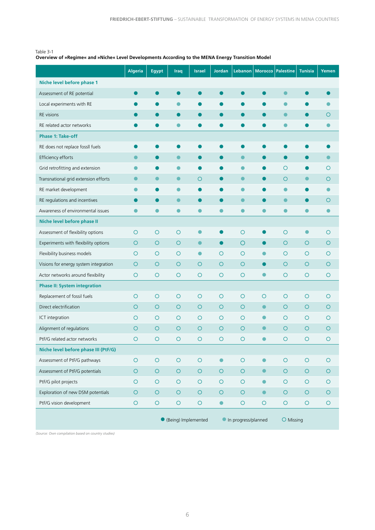#### <span id="page-7-0"></span>Table 3-1

#### **Overview of »Regime« and »Niche« Level Developments According to the MENA Energy Transition Model**

|                                       | <b>Algeria</b> | Egypt          | Iraq                  | <b>Israel</b>       | <b>Jordan</b> |                     | Lebanon   Morocco   Palestine |            | <b>Tunisia</b> | Yemen   |
|---------------------------------------|----------------|----------------|-----------------------|---------------------|---------------|---------------------|-------------------------------|------------|----------------|---------|
| Niche level before phase 1            |                |                |                       |                     |               |                     |                               |            |                |         |
| Assessment of RE potential            |                |                |                       |                     |               |                     |                               | $\bullet$  |                |         |
| Local experiments with RE             |                |                | O                     | O                   |               |                     |                               | $\bullet$  |                |         |
| <b>RE</b> visions                     |                |                | 0                     | $\bullet$           |               | $\bullet$           |                               | $\bullet$  | $\bullet$      | O       |
| RE related actor networks             |                |                | ●                     |                     |               |                     |                               | a          |                |         |
| <b>Phase 1: Take-off</b>              |                |                |                       |                     |               |                     |                               |            |                |         |
| RE does not replace fossll fuels      |                |                |                       |                     |               |                     |                               |            |                |         |
| Efficiency efforts                    |                |                | $\bullet$             | $\bullet$           |               | $\bullet$           | $\bullet$                     | $\bullet$  | ●              |         |
| Grid retrofitting and extension       |                |                | $\bullet$             | O                   |               | $\bullet$           |                               | $\circ$    |                | O       |
| Transnational grid extension efforts  |                | $\blacksquare$ | $\bullet$             | O                   |               | $\bullet$           | $\bullet$                     | $\circ$    | $\bullet$      | O       |
| RE market development                 |                |                | O                     |                     |               | $\bullet$           |                               | $\bullet$  |                |         |
| RE regulations and incentives         |                |                | $\bullet$             | O                   |               | $\bullet$           |                               | $\bullet$  |                | O       |
| Awareness of environmental issues     |                |                | $\bullet$             | 0                   |               |                     | $\bullet$                     |            |                |         |
| Niche level before phase II           |                |                |                       |                     |               |                     |                               |            |                |         |
| Assessment of flexibility options     | $\circ$        | $\circ$        | $\circ$               | $\bullet$           |               | $\circ$             | $\bullet$                     | $\circ$    | $\bullet$      | O       |
| Experiments with flexibility options  | O              | $\bigcirc$     | O                     | $\bullet$           |               | $\circ$             | $\bullet$                     | $\circ$    | O              | O       |
| Flexibility business models           | O              | $\circ$        | O                     | $\bullet$           | $\circ$       | $\circ$             | $\bullet$                     | $\circ$    | O              | O       |
| Visions for energy system integration | O              | $\circ$        | O                     | $\circ$             | $\circ$       | $\circ$             | $\bullet$                     | $\circ$    | O              | O       |
| Actor networks around flexibility     | $\circ$        | $\circ$        | $\circ$               | $\circ$             | $\circ$       | $\circ$             | $\bullet$                     | $\circ$    | $\circ$        | $\circ$ |
| <b>Phase II: System integration</b>   |                |                |                       |                     |               |                     |                               |            |                |         |
| Replacement of fossil fuels           | O              | O              | O                     | $\circ$             | O             | O                   | O                             | O          | O              | O       |
| Direct electrification                | O              | $\bigcirc$     | $\circ$               | $\circ$             | $\circ$       | $\circ$             | $\bullet$                     | $\circ$    | $\circ$        | O       |
| ICT integration                       | O              | $\circ$        | O                     | $\circ$             | $\circ$       | $\circ$             | $\bullet$                     | $\circ$    | O              | O       |
| Alignment of regulations              | O              | $\circ$        | $\circ$               | $\circ$             | $\circ$       | $\circ$             | $\bullet$                     | O          | $\circ$        | O       |
| PtF/G related actor networks          | O              | O              | $\circ$               | O                   | O             | O                   | $\bullet$                     | $\circ$    | O              | O       |
| Niche level before phase III (PtF/G)  |                |                |                       |                     |               |                     |                               |            |                |         |
| Assessment of PtF/G pathways          | $\bigcirc$     | $\bigcirc$     | $\bigcirc$            | $\circ$             | $\bullet$     | $\bigcirc$          | $\bullet$                     | $\bigcirc$ | $\bigcirc$     | $\circ$ |
| Assessment of PtF/G potentials        | $\bigcirc$     | $\bigcirc$     | $\bigcirc$            | $\circlearrowright$ | $\bigcirc$    | $\bigcirc$          | $\bullet$                     | $\bigcirc$ | $\circ$        | $\circ$ |
| PtF/G pilot projects                  | O              | $\circ$        | $\bigcirc$            | $\circ$             | $\circ$       | $\bigcirc$          | $\bullet$                     | $\circ$    | $\circ$        | O       |
| Exploration of new DSM potentials     | $\bigcirc$     | $\bigcirc$     | $\bigcirc$            | $\circlearrowright$ | $\circ$       | $\circ$             | $\bullet$                     | $\circ$    | $\bigcirc$     | $\circ$ |
| PtF/G vision development              | $\bigcirc$     | $\bigcirc$     | $\bigcirc$            | $\circ$             | $\bullet$     | $\bigcirc$          | $\bigcirc$                    | $\bigcirc$ | $\bigcirc$     | $\circ$ |
|                                       |                |                | • (Being) Implemented |                     |               | In progress/planned |                               | O Missing  |                |         |

*(Source: Own compilation based on country studies)*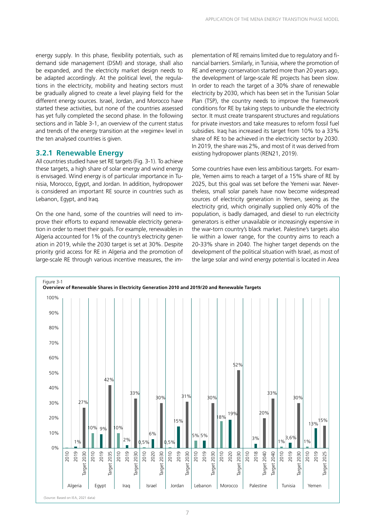<span id="page-8-0"></span>energy supply. In this phase, flexibility potentials, such as demand side management (DSM) and storage, shall also be expanded, and the electricity market design needs to be adapted accordingly. At the political level, the regulations in the electricity, mobility and heating sectors must be gradually aligned to create a level playing field for the different energy sources. Israel, Jordan, and Morocco have started these activities, but none of the countries assessed has yet fully completed the second phase. In the following sections and in Table 3-1, an overview of the current status and trends of the energy transition at the »regime« level in the ten analysed countries is given.

#### **3.2.1 Renewable Energy**

All countries studied have set RE targets (Fig. 3-1). To achieve these targets, a high share of solar energy and wind energy is envisaged. Wind energy is of particular importance in Tunisia, Morocco, Egypt, and Jordan. In addition, hydropower is considered an important RE source in countries such as Lebanon, Egypt, and Iraq.

On the one hand, some of the countries will need to improve their efforts to expand renewable electricity generation in order to meet their goals. For example, renewables in Algeria accounted for 1% of the country's electricity generation in 2019, while the 2030 target is set at 30%. Despite priority grid access for RE in Algeria and the promotion of large-scale RE through various incentive measures, the im-

plementation of RE remains limited due to regulatory and financial barriers. Similarly, in Tunisia, where the promotion of RE and energy conservation started more than 20 years ago, the development of large-scale RE projects has been slow. In order to reach the target of a 30% share of renewable electricity by 2030, which has been set in the Tunisian Solar Plan (TSP), the country needs to improve the framework conditions for RE by taking steps to unbundle the electricity sector. It must create transparent structures and regulations for private investors and take measures to reform fossil fuel subsidies. Iraq has increased its target from 10% to a 33% share of RE to be achieved in the electricity sector by 2030. In 2019, the share was 2%, and most of it was derived from existing hydropower plants (REN21, 2019).

Some countries have even less ambitious targets. For example, Yemen aims to reach a target of a 15% share of RE by 2025, but this goal was set before the Yemeni war. Nevertheless, small solar panels have now become widespread sources of electricity generation in Yemen, seeing as the electricity grid, which originally supplied only 40% of the population, is badly damaged, and diesel to run electricity generators is either unavailable or increasingly expensive in the war-torn country's black market. Palestine's targets also lie within a lower range, for the country aims to reach a 20-33% share in 2040. The higher target depends on the development of the political situation with Israel, as most of the large solar and wind energy potential is located in Area

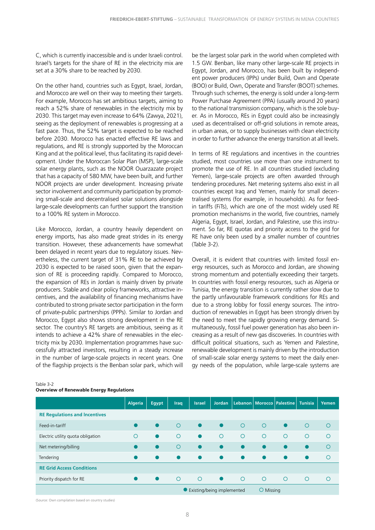<span id="page-9-0"></span>C, which is currently inaccessible and is under Israeli control. Israel's targets for the share of RE in the electricity mix are set at a 30% share to be reached by 2030.

On the other hand, countries such as Egypt, Israel, Jordan, and Morocco are well on their way to meeting their targets. For example, Morocco has set ambitious targets, aiming to reach a 52% share of renewables in the electricity mix by 2030. This target may even increase to 64% (Zawya, 2021), seeing as the deployment of renewables is progressing at a fast pace. Thus, the 52% target is expected to be reached before 2030. Morocco has enacted effective RE laws and regulations, and RE is strongly supported by the Moroccan King and at the political level, thus facilitating its rapid development. Under the Moroccan Solar Plan (MSP), large-scale solar energy plants, such as the NOOR Ouarzazate project that has a capacity of 580 MW, have been built, and further NOOR projects are under development. Increasing private sector involvement and community participation by promoting small-scale and decentralised solar solutions alongside large-scale developments can further support the transition to a 100% RE system in Morocco.

Like Morocco, Jordan, a country heavily dependent on energy imports, has also made great strides in its energy transition. However, these advancements have somewhat been delayed in recent years due to regulatory issues. Nevertheless, the current target of 31% RE to be achieved by 2030 is expected to be raised soon, given that the expansion of RE is proceeding rapidly. Compared to Morocco, the expansion of REs in Jordan is mainly driven by private producers. Stable and clear policy frameworks, attractive incentives, and the availability of financing mechanisms have contributed to strong private sector participation in the form of private-public partnerships (PPPs). Similar to Jordan and Morocco, Egypt also shows strong development in the RE sector. The country's RE targets are ambitious, seeing as it intends to achieve a 42% share of renewables in the electricity mix by 2030. Implementation programmes have successfully attracted investors, resulting in a steady increase in the number of large-scale projects in recent years. One of the flagship projects is the Benban solar park, which will

|                                      | <b>Algeria</b> | Egypt     | <b>Iraq</b> | <b>Israel</b>                | <b>Jordan</b> |                |           | Lebanon Morocco Palestine Tunisia |         | Yemen      |
|--------------------------------------|----------------|-----------|-------------|------------------------------|---------------|----------------|-----------|-----------------------------------|---------|------------|
| <b>RE Regulations and Incentives</b> |                |           |             |                              |               |                |           |                                   |         |            |
| Feed-in-tariff                       |                | $\bullet$ | $\circ$     | $\bullet$                    | $\bullet$     | $\circ$        | $\circ$   | $\bullet$                         | $\circ$ | $\circ$    |
| Electric utility quota obligation    | $\bigcirc$     |           | $\circ$     | $\bullet$                    | $\circ$       | $\circ$        | $\circ$   | $\circ$                           | $\circ$ | $\Omega$   |
| Net metering/billing                 |                | $\bullet$ | $\Omega$    | $\bullet$                    |               | $\bullet$      | $\bullet$ | $\bullet$                         |         | $\bigcirc$ |
| Tendering                            |                |           |             | $\bullet$                    |               |                | $\bullet$ | $\bullet$                         |         | $\Omega$   |
| <b>RE Grid Access Conditions</b>     |                |           |             |                              |               |                |           |                                   |         |            |
| Priority dispatch for RE             |                |           | $\circ$     | $\circ$                      | $\bullet$     | $\overline{O}$ | $\circ$   | $\circ$                           | $\circ$ | $\Omega$   |
|                                      |                |           |             | ● Existing/being implemented |               |                | O Missing |                                   |         |            |

#### Table 3-2

#### **Overview of Renewable Energy Regulations**

be the largest solar park in the world when completed with 1.5 GW. Benban, like many other large-scale RE projects in Egypt, Jordan, and Morocco, has been built by independent power producers (IPPs) under Build, Own and Operate (BOO) or Build, Own, Operate and Transfer (BOOT) schemes. Through such schemes, the energy is sold under a long-term Power Purchase Agreement (PPA) (usually around 20 years) to the national transmission company, which is the sole buyer. As in Morocco, REs in Egypt could also be increasingly used as decentralised or off-grid solutions in remote areas, in urban areas, or to supply businesses with clean electricity in order to further advance the energy transition at all levels.

In terms of RE regulations and incentives in the countries studied, most countries use more than one instrument to promote the use of RE. In all countries studied (excluding Yemen), large-scale projects are often awarded through tendering procedures. Net metering systems also exist in all countries except Iraq and Yemen, mainly for small decentralised systems (for example, in households). As for feedin tariffs (FiTs), which are one of the most widely used RE promotion mechanisms in the world, five countries, namely Algeria, Egypt, Israel, Jordan, and Palestine, use this instrument. So far, RE quotas and priority access to the grid for RE have only been used by a smaller number of countries (Table 3-2).

Overall, it is evident that countries with limited fossil energy resources, such as Morocco and Jordan, are showing strong momentum and potentially exceeding their targets. In countries with fossil energy resources, such as Algeria or Tunisia, the energy transition is currently rather slow due to the partly unfavourable framework conditions for REs and due to a strong lobby for fossil energy sources. The introduction of renewables in Egypt has been strongly driven by the need to meet the rapidly growing energy demand. Simultaneously, fossil fuel power generation has also been increasing as a result of new gas discoveries. In countries with difficult political situations, such as Yemen and Palestine, renewable development is mainly driven by the introduction of small-scale solar energy systems to meet the daily energy needs of the population, while large-scale systems are

(Source: Own compilation based on country studies)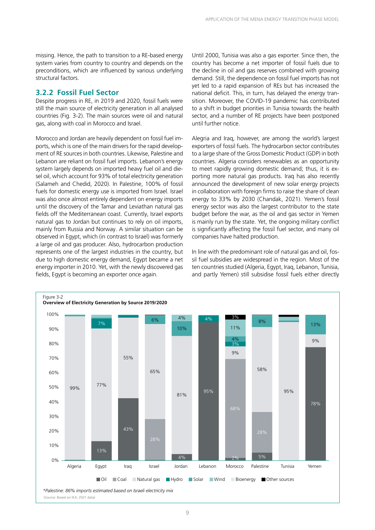<span id="page-10-0"></span>missing. Hence, the path to transition to a RE-based energy system varies from country to country and depends on the preconditions, which are influenced by various underlying structural factors.

#### **3.2.2 Fossil Fuel Sector**

Despite progress in RE, in 2019 and 2020, fossil fuels were still the main source of electricity generation in all analysed countries (Fig. 3-2). The main sources were oil and natural gas, along with coal in Morocco and Israel.

Morocco and Jordan are heavily dependent on fossil fuel imports, which is one of the main drivers for the rapid development of RE sources in both countries. Likewise, Palestine and Lebanon are reliant on fossil fuel imports. Lebanon's energy system largely depends on imported heavy fuel oil and diesel oil, which account for 93% of total electricity generation (Salameh and Chedid, 2020). In Palestine, 100% of fossil fuels for domestic energy use is imported from Israel. Israel was also once almost entirely dependent on energy imports until the discovery of the Tamar and Leviathan natural gas fields off the Mediterranean coast. Currently, Israel exports natural gas to Jordan but continues to rely on oil imports, mainly from Russia and Norway. A similar situation can be observed in Egypt, which (in contrast to Israel) was formerly a large oil and gas producer. Also, hydrocarbon production represents one of the largest industries in the country, but due to high domestic energy demand, Egypt became a net energy importer in 2010. Yet, with the newly discovered gas fields, Egypt is becoming an exporter once again.

Until 2000, Tunisia was also a gas exporter. Since then, the country has become a net importer of fossil fuels due to the decline in oil and gas reserves combined with growing demand. Still, the dependence on fossil fuel imports has not yet led to a rapid expansion of REs but has increased the national deficit. This, in turn, has delayed the energy transition. Moreover, the COVID-19 pandemic has contributed to a shift in budget priorities in Tunisia towards the health sector, and a number of RE projects have been postponed until further notice.

Alegria and Iraq, however, are among the world's largest exporters of fossil fuels. The hydrocarbon sector contributes to a large share of the Gross Domestic Product (GDP) in both countries. Algeria considers renewables as an opportunity to meet rapidly growing domestic demand; thus, it is exporting more natural gas products. Iraq has also recently announced the development of new solar energy projects in collaboration with foreign firms to raise the share of clean energy to 33% by 2030 (Chandak, 2021). Yemen's fossil energy sector was also the largest contributor to the state budget before the war, as the oil and gas sector in Yemen is mainly run by the state. Yet, the ongoing military conflict is significantly affecting the fossil fuel sector, and many oil companies have halted production.

In line with the predominant role of natural gas and oil, fossil fuel subsidies are widespread in the region. Most of the ten countries studied (Algeria, Egypt, Iraq, Lebanon, Tunisia, and partly Yemen) still subsidise fossil fuels either directly

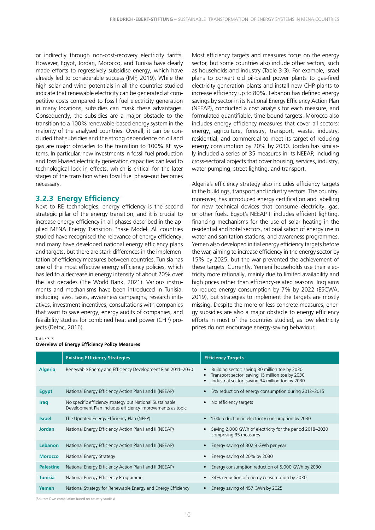<span id="page-11-0"></span>or indirectly through non-cost-recovery electricity tariffs. However, Egypt, Jordan, Morocco, and Tunisia have clearly made efforts to regressively subsidise energy, which have already led to considerable success (IMF, 2019). While the high solar and wind potentials in all the countries studied indicate that renewable electricity can be generated at competitive costs compared to fossil fuel electricity generation in many locations, subsidies can mask these advantages. Consequently, the subsidies are a major obstacle to the transition to a 100% renewable-based energy system in the majority of the analysed countries. Overall, it can be concluded that subsidies and the strong dependence on oil and gas are major obstacles to the transition to 100% RE systems. In particular, new investments in fossil fuel production and fossil-based electricity generation capacities can lead to technological lock-in effects, which is critical for the later stages of the transition when fossil fuel phase-out becomes necessary.

#### **3.2.3 Energy Efficiency**

Next to RE technologies, energy efficiency is the second strategic pillar of the energy transition, and it is crucial to increase energy efficiency in all phases described in the applied MENA Energy Transition Phase Model. All countries studied have recognised the relevance of energy efficiency, and many have developed national energy efficiency plans and targets, but there are stark differences in the implementation of efficiency measures between countries. Tunisia has one of the most effective energy efficiency policies, which has led to a decrease in energy intensity of about 20% over the last decades (The World Bank, 2021). Various instruments and mechanisms have been introduced in Tunisia, including laws, taxes, awareness campaigns, research initiatives, investment incentives, consultations with companies that want to save energy, energy audits of companies, and feasibility studies for combined heat and power (CHP) projects (Detoc, 2016).

Most efficiency targets and measures focus on the energy sector, but some countries also include other sectors, such as households and industry (Table 3-3). For example, Israel plans to convert old oil-based power plants to gas-fired electricity generation plants and install new CHP plants to increase efficiency up to 80%. Lebanon has defined energy savings by sector in its National Energy Efficiency Action Plan (NEEAP), conducted a cost analysis for each measure, and formulated quantifiable, time-bound targets. Morocco also includes energy efficiency measures that cover all sectors: energy, agriculture, forestry, transport, waste, industry, residential, and commercial to meet its target of reducing energy consumption by 20% by 2030. Jordan has similarly included a series of 35 measures in its NEEAP, including cross-sectoral projects that cover housing, services, industry, water pumping, street lighting, and transport.

Algeria's efficiency strategy also includes efficiency targets in the buildings, transport and industry sectors. The country, moreover, has introduced energy certification and labelling for new technical devices that consume electricity, gas, or other fuels. Egypt's NEEAP II includes efficient lighting, financing mechanisms for the use of solar heating in the residential and hotel sectors, rationalisation of energy use in water and sanitation stations, and awareness programmes. Yemen also developed initial energy efficiency targets before the war, aiming to increase efficiency in the energy sector by 15% by 2025, but the war prevented the achievement of these targets. Currently, Yemeni households use their electricity more rationally, mainly due to limited availability and high prices rather than efficiency-related reasons. Iraq aims to reduce energy consumption by 7% by 2022 (ESCWA, 2019), but strategies to implement the targets are mostly missing. Despite the more or less concrete measures, energy subsidies are also a major obstacle to energy efficiency efforts in most of the countries studied, as low electricity prices do not encourage energy-saving behaviour.

#### Table 3-3

| <b>Overview of Energy Efficiency Policy Measures</b> |  |  |  |  |
|------------------------------------------------------|--|--|--|--|
|------------------------------------------------------|--|--|--|--|

|                  | <b>Existing Efficiency Strategies</b>                                                                                  | <b>Efficiency Targets</b>                                                                                                                             |
|------------------|------------------------------------------------------------------------------------------------------------------------|-------------------------------------------------------------------------------------------------------------------------------------------------------|
| <b>Algeria</b>   | Renewable Energy and Efficiency Development Plan 2011-2030                                                             | Building sector: saving 30 million toe by 2030<br>Transport sector: saving 15 million toe by 2030<br>Industrial sector: saving 34 million toe by 2030 |
| Egypt            | National Energy Efficiency Action Plan I and II (NEEAP)                                                                | 5% reduction of energy consumption during 2012-2015                                                                                                   |
| <b>Iraq</b>      | No specific efficiency strategy but National Sustainable<br>Development Plan includes efficiency improvements as topic | No efficiency targets                                                                                                                                 |
| <b>Israel</b>    | The Updated Energy Efficiency Plan (NEEP)                                                                              | 17% reduction in electricity consumption by 2030                                                                                                      |
| <b>Jordan</b>    | National Energy Efficiency Action Plan I and II (NEEAP)                                                                | Saving 2,000 GWh of electricity for the period 2018-2020<br>comprising 35 measures                                                                    |
| Lebanon          | National Energy Efficiency Action Plan I and II (NEEAP)                                                                | Energy saving of 302.9 GWh per year                                                                                                                   |
| <b>Morocco</b>   | National Energy Strategy                                                                                               | Energy saving of 20% by 2030                                                                                                                          |
| <b>Palestine</b> | National Energy Efficiency Action Plan I and II (NEEAP)                                                                | Energy consumption reduction of 5,000 GWh by 2030                                                                                                     |
| <b>Tunisia</b>   | National Energy Efficiency Programme                                                                                   | 34% reduction of energy consumption by 2030                                                                                                           |
| Yemen            | National Strategy for Renewable Energy and Energy Efficiency                                                           | Energy saving of 457 GWh by 2025                                                                                                                      |

(Source: Own compilation based on country studies)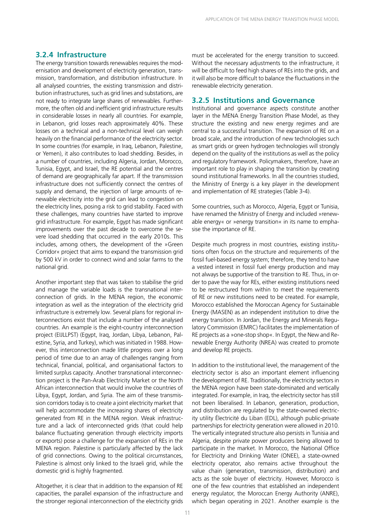#### **3.2.4 Infrastructure**

The energy transition towards renewables requires the modernisation and development of electricity generation, transmission, transformation, and distribution infrastructure. In all analysed countries, the existing transmission and distribution infrastructures, such as grid lines and substations, are not ready to integrate large shares of renewables. Furthermore, the often old and inefficient grid infrastructure results in considerable losses in nearly all countries. For example, in Lebanon, grid losses reach approximately 40%. These losses on a technical and a non-technical level can weigh heavily on the financial performance of the electricity sector. In some countries (for example, in Iraq, Lebanon, Palestine, or Yemen), it also contributes to load shedding. Besides, in a number of countries, including Algeria, Jordan, Morocco, Tunisia, Egypt, and Israel, the RE potential and the centres of demand are geographically far apart. If the transmission infrastructure does not sufficiently connect the centres of supply and demand, the injection of large amounts of renewable electricity into the grid can lead to congestion on the electricity lines, posing a risk to grid stability. Faced with these challenges, many countries have started to improve grid infrastructure. For example, Egypt has made significant improvements over the past decade to overcome the severe load shedding that occurred in the early 2010s. This includes, among others, the development of the »Green Corridor« project that aims to expand the transmission grid by 500 kV in order to connect wind and solar farms to the national grid.

Another important step that was taken to stabilise the grid and manage the variable loads is the transnational interconnection of grids. In the MENA region, the economic integration as well as the integration of the electricity grid infrastructure is extremely low. Several plans for regional interconnections exist that include a number of the analysed countries. An example is the eight-country interconnection project (EIJLLPST) (Egypt, Iraq, Jordan, Libya, Lebanon, Palestine, Syria, and Turkey), which was initiated in 1988. However, this interconnection made little progress over a long period of time due to an array of challenges ranging from technical, financial, political, and organisational factors to limited surplus capacity. Another transnational interconnection project is the Pan-Arab Electricity Market or the North African interconnection that would involve the countries of Libya, Egypt, Jordan, and Syria. The aim of these transmission corridors today is to create a joint electricity market that will help accommodate the increasing shares of electricity generated from RE in the MENA region. Weak infrastructure and a lack of interconnected grids (that could help balance fluctuating generation through electricity imports or exports) pose a challenge for the expansion of REs in the MENA region. Palestine is particularly affected by the lack of grid connections. Owing to the political circumstances, Palestine is almost only linked to the Israeli grid, while the domestic grid is highly fragmented.

Altogether, it is clear that in addition to the expansion of RE capacities, the parallel expansion of the infrastructure and the stronger regional interconnection of the electricity grids

must be accelerated for the energy transition to succeed. Without the necessary adjustments to the infrastructure, it will be difficult to feed high shares of REs into the grids, and it will also be more difficult to balance the fluctuations in the renewable electricity generation.

#### **3.2.5 Institutions and Governance**

Institutional and governance aspects constitute another layer in the MENA Energy Transition Phase Model, as they structure the existing and new energy regimes and are central to a successful transition. The expansion of RE on a broad scale, and the introduction of new technologies such as smart grids or green hydrogen technologies will strongly depend on the quality of the institutions as well as the policy and regulatory framework. Policymakers, therefore, have an important role to play in shaping the transition by creating sound institutional frameworks. In all the countries studied, the Ministry of Energy is a key player in the development and implementation of RE strategies (Table 3-4).

Some countries, such as Morocco, Algeria, Egypt or Tunisia, have renamed the Ministry of Energy and included »renewable energy« or »energy transition« in its name to emphasise the importance of RE.

Despite much progress in most countries, existing institutions often focus on the structure and requirements of the fossil fuel-based energy system; therefore, they tend to have a vested interest in fossil fuel energy production and may not always be supportive of the transition to RE. Thus, in order to pave the way for REs, either existing institutions need to be restructured from within to meet the requirements of RE or new institutions need to be created. For example, Morocco established the Moroccan Agency for Sustainable Energy (MASEN) as an independent institution to drive the energy transition. In Jordan, the Energy and Minerals Regulatory Commission (EMRC) facilitates the implementation of RE projects as a »one-stop shop«. In Egypt, the New and Renewable Energy Authority (NREA) was created to promote and develop RE projects.

In addition to the institutional level, the management of the electricity sector is also an important element influencing the development of RE. Traditionally, the electricity sectors in the MENA region have been state-dominated and vertically integrated. For example, in Iraq, the electricity sector has still not been liberalised. In Lebanon, generation, production, and distribution are regulated by the state-owned electricity utility Électricité du Liban (EDL), although public-private partnerships for electricity generation were allowed in 2010. The vertically integrated structure also persists in Tunisia and Algeria, despite private power producers being allowed to participate in the market. In Morocco, the National Office for Electricity and Drinking Water (ONEE), a state-owned electricity operator, also remains active throughout the value chain (generation, transmission, distribution) and acts as the sole buyer of electricity. However, Morocco is one of the few countries that established an independent energy regulator, the Moroccan Energy Authority (ANRE), which began operating in 2021. Another example is the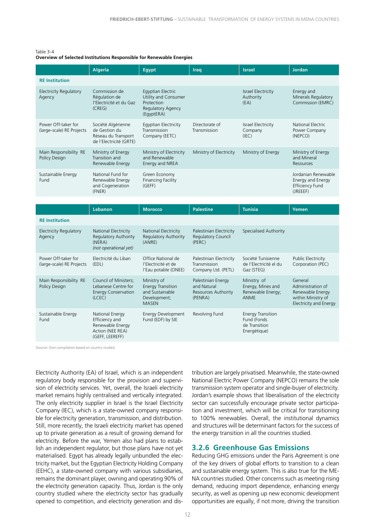#### <span id="page-13-0"></span>Table 3-4 **Overview of Selected Institutions Responsible for Renewable Energies**

|                                                  | <b>Algeria</b>                                                                        | <b>Egypt</b>                                                                               | Iraq                           | <b>Israel</b>                           | <b>Jordan</b>                                                                  |
|--------------------------------------------------|---------------------------------------------------------------------------------------|--------------------------------------------------------------------------------------------|--------------------------------|-----------------------------------------|--------------------------------------------------------------------------------|
| <b>RE</b> Institution                            |                                                                                       |                                                                                            |                                |                                         |                                                                                |
| <b>Electricity Regulatory</b><br>Agency          | Commission de<br>Régulation de<br>l'Electricité et du Gaz<br>(CREG)                   | Egyptian Electric<br>Utility and Consumer<br>Protection<br>Regulatory Agency<br>(EgyptERA) |                                | Israel Electricity<br>Authority<br>(EA) | Energy and<br>Minerals Regulatory<br>Commission (EMRC)                         |
| Power Off-taker for<br>(large-scale) RE Projects | Société Algérienne<br>de Gestion du<br>Réseau du Transport<br>de l'Electricité (GRTE) | Egyptian Electricity<br>Transmission<br>Company (EETC)                                     | Directorate of<br>Transmission | Israel Electricity<br>Company<br>(IEC)  | National Electric<br>Power Company<br>(NEPCO)                                  |
| Main Responsibility RE<br>Policy Design          | Ministry of Energy<br>Transition and<br>Renewable Energy                              | Ministry of Electricity<br>and Renewable<br>Energy and NREA                                | Ministry of Electricity        | Ministry of Energy                      | Ministry of Energy<br>and Mineral<br>Resources                                 |
| Sustainable Energy<br>Fund                       | National Fund for<br>Renewable Energy<br>and Cogeneration<br>(FNER)                   | Green Economy<br><b>Financing Facility</b><br>(GEFF)                                       |                                |                                         | Jordanian Renewable<br>Energy and Energy<br><b>Efficiency Fund</b><br>(JREEEF) |
|                                                  |                                                                                       |                                                                                            |                                |                                         |                                                                                |

| Lebanon                                                                                      | <b>Morocco</b>                                                                             | <b>Palestine</b>                                                    | <b>Tunisia</b>                                                           | Yemen                                                                                                   |
|----------------------------------------------------------------------------------------------|--------------------------------------------------------------------------------------------|---------------------------------------------------------------------|--------------------------------------------------------------------------|---------------------------------------------------------------------------------------------------------|
|                                                                                              |                                                                                            |                                                                     |                                                                          |                                                                                                         |
| National Electricity<br><b>Regulatory Authority</b><br>(NERA)<br>(not operational yet)       | National Electricity<br>Regulatory Authority<br>(ANRE)                                     | Palestinian Electricity<br>Regulatory Council<br>(PERC)             | Specialised Authority                                                    |                                                                                                         |
| Electricité du Liban<br>(EDL)                                                                | Office National de<br>l'Electricité et de<br>l'Eau potable (ONEE)                          | Palestinian Electricity<br>Transmission<br>Company Ltd. (PETL)      | Société Tunisienne<br>de l'Electricité el du<br>Gaz (STEG)               | <b>Public Electricity</b><br>Corporation (PEC)                                                          |
| Council of Ministers;<br>Lebanese Centre for<br><b>Energy Conservation</b><br>(LCEC)         | Ministry of<br><b>Energy Transition</b><br>and Sustainable<br>Development;<br><b>MASEN</b> | Palestinian Energy<br>and Natural<br>Resources Authority<br>(PENRA) | Ministry of<br>Energy, Mines and<br>Renewable Energy;<br><b>ANME</b>     | General<br>Administration of<br>Renewable Energy<br>within Ministry of<br><b>Electricity and Energy</b> |
| National Energy<br>Efficiency and<br>Renewable Energy<br>Action (NEE REA)<br>(GEFF, LEEREFF) | Energy Development<br>Fund (EDF) by SIE                                                    | Revolving Fund                                                      | <b>Energy Transition</b><br>Fund (Fonds<br>de Transition<br>Energétique) |                                                                                                         |
|                                                                                              |                                                                                            |                                                                     |                                                                          |                                                                                                         |

(Source: Own compilation based on country studies)

Electricity Authority (EA) of Israel, which is an independent regulatory body responsible for the provision and supervision of electricity services. Yet, overall, the Israeli electricity market remains highly centralised and vertically integrated. The only electricity supplier in Israel is the Israel Electricity Company (IEC), which is a state-owned company responsible for electricity generation, transmission, and distribution. Still, more recently, the Israeli electricity market has opened up to private generation as a result of growing demand for electricity. Before the war, Yemen also had plans to establish an independent regulator, but those plans have not yet materialised. Egypt has already legally unbundled the electricity market, but the Egyptian Electricity Holding Company (EEHC), a state-owned company with various subsidiaries, remains the dominant player, owning and operating 90% of the electricity generation capacity. Thus, Jordan is the only country studied where the electricity sector has gradually opened to competition, and electricity generation and dis-

tribution are largely privatised. Meanwhile, the state-owned National Electric Power Company (NEPCO) remains the sole transmission system operator and single-buyer of electricity. Jordan's example shows that liberalisation of the electricity sector can successfully encourage private sector participation and investment, which will be critical for transitioning to 100% renewables. Overall, the institutional dynamics and structures will be determinant factors for the success of the energy transition in all the countries studied.

#### **3.2.6 Greenhouse Gas Emissions**

Reducing GHG emissions under the Paris Agreement is one of the key drivers of global efforts to transition to a clean and sustainable energy system. This is also true for the ME-NA countries studied. Other concerns such as meeting rising demand, reducing import dependence, enhancing energy security, as well as opening up new economic development opportunities are equally, if not more, driving the transition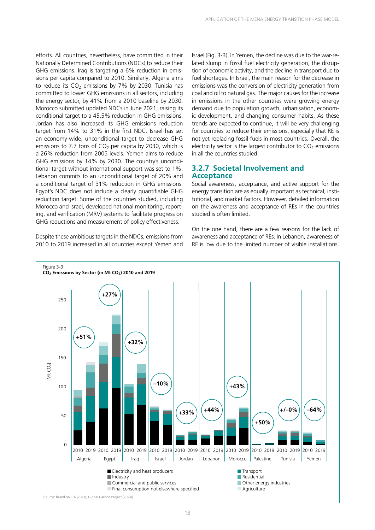<span id="page-14-0"></span>efforts. All countries, nevertheless, have committed in their Nationally Determined Contributions (NDCs) to reduce their GHG emissions. Iraq is targeting a 6% reduction in emissions per capita compared to 2010. Similarly, Algeria aims to reduce its  $CO<sub>2</sub>$  emissions by 7% by 2030. Tunisia has committed to lower GHG emissions in all sectors, including the energy sector, by 41% from a 2010 baseline by 2030. Morocco submitted updated NDCs in June 2021, raising its conditional target to a 45.5% reduction in GHG emissions. Jordan has also increased its GHG emissions reduction target from 14% to 31% in the first NDC. Israel has set an economy-wide, unconditional target to decrease GHG emissions to 7.7 tons of  $CO<sub>2</sub>$  per capita by 2030, which is a 26% reduction from 2005 levels. Yemen aims to reduce GHG emissions by 14% by 2030. The country's unconditional target without international support was set to 1%. Lebanon commits to an unconditional target of 20% and a conditional target of 31% reduction in GHG emissions. Egypt's NDC does not include a clearly quantifiable GHG reduction target. Some of the countries studied, including Morocco and Israel, developed national monitoring, reporting, and verification (MRV) systems to facilitate progress on GHG reductions and measurement of policy effectiveness.

Despite these ambitious targets in the NDCs, emissions from 2010 to 2019 increased in all countries except Yemen and Israel (Fig. 3-3). In Yemen, the decline was due to the war-related slump in fossil fuel electricity generation, the disruption of economic activity, and the decline in transport due to fuel shortages. In Israel, the main reason for the decrease in emissions was the conversion of electricity generation from coal and oil to natural gas. The major causes for the increase in emissions in the other countries were growing energy demand due to population growth, urbanisation, economic development, and changing consumer habits. As these trends are expected to continue, it will be very challenging for countries to reduce their emissions, especially that RE is not yet replacing fossil fuels in most countries. Overall, the electricity sector is the largest contributor to  $CO<sub>2</sub>$  emissions in all the countries studied.

### **3.2.7 Societal Involvement and Acceptance**

Social awareness, acceptance, and active support for the energy transition are as equally important as technical, institutional, and market factors. However, detailed information on the awareness and acceptance of REs in the countries studied is often limited.

On the one hand, there are a few reasons for the lack of awareness and acceptance of REs. In Lebanon, awareness of RE is low due to the limited number of visible installations.

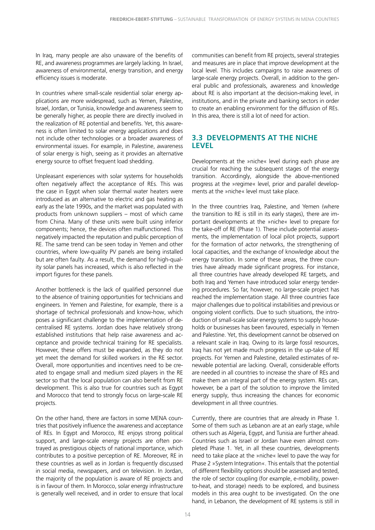<span id="page-15-0"></span>In Iraq, many people are also unaware of the benefits of RE, and awareness programmes are largely lacking. In Israel, awareness of environmental, energy transition, and energy efficiency issues is moderate.

In countries where small-scale residential solar energy applications are more widespread, such as Yemen, Palestine, Israel, Jordan, or Tunisia, knowledge and awareness seem to be generally higher, as people there are directly involved in the realization of RE potential and benefits. Yet, this awareness is often limited to solar energy applications and does not include other technologies or a broader awareness of environmental issues. For example, in Palestine, awareness of solar energy is high, seeing as it provides an alternative energy source to offset frequent load shedding.

Unpleasant experiences with solar systems for households often negatively affect the acceptance of REs. This was the case in Egypt when solar thermal water heaters were introduced as an alternative to electric and gas heating as early as the late 1990s, and the market was populated with products from unknown suppliers – most of which came from China. Many of these units were built using inferior components; hence, the devices often malfunctioned. This negatively impacted the reputation and public perception of RE. The same trend can be seen today in Yemen and other countries, where low-quality PV panels are being installed but are often faulty. As a result, the demand for high-quality solar panels has increased, which is also reflected in the import figures for these panels.

Another bottleneck is the lack of qualified personnel due to the absence of training opportunities for technicians and engineers. In Yemen and Palestine, for example, there is a shortage of technical professionals and know-how, which poses a significant challenge to the implementation of decentralised RE systems. Jordan does have relatively strong established institutions that help raise awareness and acceptance and provide technical training for RE specialists. However, these offers must be expanded, as they do not yet meet the demand for skilled workers in the RE sector. Overall, more opportunities and incentives need to be created to engage small and medium sized players in the RE sector so that the local population can also benefit from RE development. This is also true for countries such as Egypt and Morocco that tend to strongly focus on large-scale RE projects.

On the other hand, there are factors in some MENA countries that positively influence the awareness and acceptance of REs. In Egypt and Morocco, RE enjoys strong political support, and large-scale energy projects are often portrayed as prestigious objects of national importance, which contributes to a positive perception of RE. Moreover, RE in these countries as well as in Jordan is frequently discussed in social media, newspapers, and on television. In Jordan, the majority of the population is aware of RE projects and is in favour of them. In Morocco, solar energy infrastructure is generally well received, and in order to ensure that local

communities can benefit from RE projects, several strategies and measures are in place that improve development at the local level. This includes campaigns to raise awareness of large-scale energy projects. Overall, in addition to the general public and professionals, awareness and knowledge about RE is also important at the decision-making level, in institutions, and in the private and banking sectors in order to create an enabling environment for the diffusion of REs. In this area, there is still a lot of need for action.

### **3.3 DEVELOPMENTS AT THE NICHE LEVEL**

Developments at the »niche« level during each phase are crucial for reaching the subsequent stages of the energy transition. Accordingly, alongside the above-mentioned progress at the »regime« level, prior and parallel developments at the »niche« level must take place.

In the three countries Iraq, Palestine, and Yemen (where the transition to RE is still in its early stages), there are important developments at the »niche« level to prepare for the take-off of RE (Phase 1). These include potential assessments, the implementation of local pilot projects, support for the formation of actor networks, the strengthening of local capacities, and the exchange of knowledge about the energy transition. In some of these areas, the three countries have already made significant progress. For instance, all three countries have already developed RE targets, and both Iraq and Yemen have introduced solar energy tendering procedures. So far, however, no large-scale project has reached the implementation stage. All three countries face major challenges due to political instabilities and previous or ongoing violent conflicts. Due to such situations, the introduction of small-scale solar energy systems to supply households or businesses has been favoured, especially in Yemen and Palestine. Yet, this development cannot be observed on a relevant scale in Iraq. Owing to its large fossil resources, Iraq has not yet made much progress in the up-take of RE projects. For Yemen and Palestine, detailed estimates of renewable potential are lacking. Overall, considerable efforts are needed in all countries to increase the share of REs and make them an integral part of the energy system. REs can, however, be a part of the solution to improve the limited energy supply, thus increasing the chances for economic development in all three countries.

Currently, there are countries that are already in Phase 1. Some of them such as Lebanon are at an early stage, while others such as Algeria, Egypt, and Tunisia are further ahead. Countries such as Israel or Jordan have even almost completed Phase 1. Yet, in all these countries, developments need to take place at the »niche« level to pave the way for Phase 2 »System Integration«. This entails that the potential of different flexibility options should be assessed and tested, the role of sector coupling (for example, e-mobility, powerto-heat, and storage) needs to be explored, and business models in this area ought to be investigated. On the one hand, in Lebanon, the development of RE systems is still in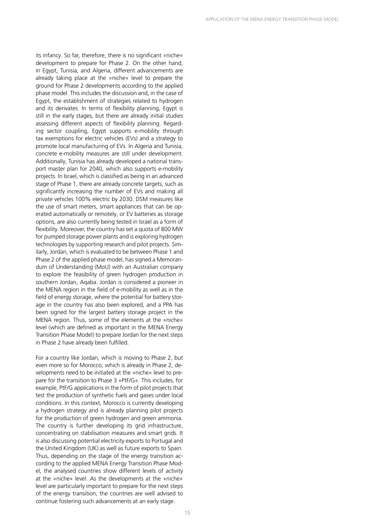its infancy. So far, therefore, there is no significant »niche« development to prepare for Phase 2. On the other hand, in Egypt, Tunisia, and Algeria, different advancements are already taking place at the »niche« level to prepare the ground for Phase 2 developments according to the applied phase model. This includes the discussion and, in the case of Egypt, the establishment of strategies related to hydrogen and its derivates. In terms of flexibility planning, Egypt is still in the early stages, but there are already initial studies assessing different aspects of flexibility planning. Regarding sector coupling, Egypt supports e-mobility through tax exemptions for electric vehicles (EVs) and a strategy to promote local manufacturing of EVs. In Algeria and Tunisia, concrete e-mobility measures are still under development. Additionally, Tunisia has already developed a national transport master plan for 2040, which also supports e-mobility projects. In Israel, which is classified as being in an advanced stage of Phase 1, there are already concrete targets, such as significantly increasing the number of EVs and making all private vehicles 100% electric by 2030. DSM measures like the use of smart meters, smart appliances that can be operated automatically or remotely, or EV batteries as storage options, are also currently being tested in Israel as a form of flexibility. Moreover, the country has set a quota of 800 MW for pumped storage power plants and is exploring hydrogen technologies by supporting research and pilot projects. Similarly, Jordan, which is evaluated to be between Phase 1 and Phase 2 of the applied phase model, has signed a Memorandum of Understanding (MoU) with an Australian company to explore the feasibility of green hydrogen production in southern Jordan, Aqaba. Jordan is considered a pioneer in the MENA region in the field of e-mobility as well as in the field of energy storage, where the potential for battery storage in the country has also been explored, and a PPA has been signed for the largest battery storage project in the MENA region. Thus, some of the elements at the »niche« level (which are defined as important in the MENA Energy Transition Phase Model) to prepare Jordan for the next steps in Phase 2 have already been fulfilled.

For a country like Jordan, which is moving to Phase 2, but even more so for Morocco, which is already in Phase 2, developments need to be initiated at the »niche« level to prepare for the transition to Phase 3 »PtF/G«. This includes, for example, PtF/G applications in the form of pilot projects that test the production of synthetic fuels and gases under local conditions. In this context, Morocco is currently developing a hydrogen strategy and is already planning pilot projects for the production of green hydrogen and green ammonia. The country is further developing its grid infrastructure, concentrating on stabilisation measures and smart grids. It is also discussing potential electricity exports to Portugal and the United Kingdom (UK) as well as future exports to Spain. Thus, depending on the stage of the energy transition according to the applied MENA Energy Transition Phase Model, the analysed countries show different levels of activity at the »niche« level. As the developments at the »niche« level are particularly important to prepare for the next steps of the energy transition, the countries are well advised to continue fostering such advancements at an early stage.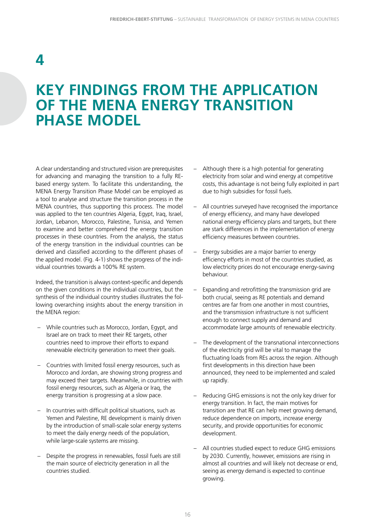## <span id="page-17-0"></span>**4**

### **KEY FINDINGS FROM THE APPLICATION OF THE MENA ENERGY TRANSITION PHASE MODEL**

A clear understanding and structured vision are prerequisites for advancing and managing the transition to a fully REbased energy system. To facilitate this understanding, the MENA Energy Transition Phase Model can be employed as a tool to analyse and structure the transition process in the MENA countries, thus supporting this process. The model was applied to the ten countries Algeria, Egypt, Iraq, Israel, Jordan, Lebanon, Morocco, Palestine, Tunisia, and Yemen to examine and better comprehend the energy transition processes in these countries. From the analysis, the status of the energy transition in the individual countries can be derived and classified according to the different phases of the applied model. (Fig. 4-1) shows the progress of the individual countries towards a 100% RE system.

Indeed, the transition is always context-specific and depends on the given conditions in the individual countries, but the synthesis of the individual country studies illustrates the following overarching insights about the energy transition in the MENA region:

- While countries such as Morocco, Jordan, Egypt, and Israel are on track to meet their RE targets, other countries need to improve their efforts to expand renewable electricity generation to meet their goals.
- Countries with limited fossil energy resources, such as Morocco and Jordan, are showing strong progress and may exceed their targets. Meanwhile, in countries with fossil energy resources, such as Algeria or Iraq, the energy transition is progressing at a slow pace.
- In countries with difficult political situations, such as Yemen and Palestine, RE development is mainly driven by the introduction of small-scale solar energy systems to meet the daily energy needs of the population, while large-scale systems are missing.
- Despite the progress in renewables, fossil fuels are still the main source of electricity generation in all the countries studied.
- Although there is a high potential for generating electricity from solar and wind energy at competitive costs, this advantage is not being fully exploited in part due to high subsidies for fossil fuels.
- All countries surveyed have recognised the importance of energy efficiency, and many have developed national energy efficiency plans and targets, but there are stark differences in the implementation of energy efficiency measures between countries.
- Energy subsidies are a major barrier to energy efficiency efforts in most of the countries studied, as low electricity prices do not encourage energy-saving behaviour.
- Expanding and retrofitting the transmission grid are both crucial, seeing as RE potentials and demand centres are far from one another in most countries, and the transmission infrastructure is not sufficient enough to connect supply and demand and accommodate large amounts of renewable electricity.
- The development of the transnational interconnections of the electricity grid will be vital to manage the fluctuating loads from REs across the region. Although first developments in this direction have been announced, they need to be implemented and scaled up rapidly.
- Reducing GHG emissions is not the only key driver for energy transition. In fact, the main motives for transition are that RE can help meet growing demand, reduce dependence on imports, increase energy security, and provide opportunities for economic development.
- All countries studied expect to reduce GHG emissions by 2030. Currently, however, emissions are rising in almost all countries and will likely not decrease or end, seeing as energy demand is expected to continue growing.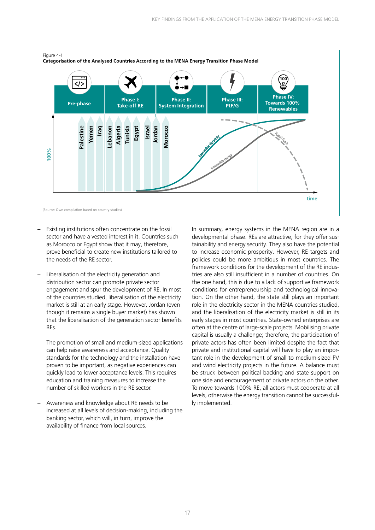<span id="page-18-0"></span>

- Existing institutions often concentrate on the fossil sector and have a vested interest in it. Countries such as Morocco or Egypt show that it may, therefore, prove beneficial to create new institutions tailored to the needs of the RE sector.
- Liberalisation of the electricity generation and distribution sector can promote private sector engagement and spur the development of RE. In most of the countries studied, liberalisation of the electricity market is still at an early stage. However, Jordan (even though it remains a single buyer market) has shown that the liberalisation of the generation sector benefits REs.
- The promotion of small and medium-sized applications can help raise awareness and acceptance. Quality standards for the technology and the installation have proven to be important, as negative experiences can quickly lead to lower acceptance levels. This requires education and training measures to increase the number of skilled workers in the RE sector.
- Awareness and knowledge about RE needs to be increased at all levels of decision-making, including the banking sector, which will, in turn, improve the availability of finance from local sources.

In summary, energy systems in the MENA region are in a developmental phase. REs are attractive, for they offer sustainability and energy security. They also have the potential to increase economic prosperity. However, RE targets and policies could be more ambitious in most countries. The framework conditions for the development of the RE industries are also still insufficient in a number of countries. On the one hand, this is due to a lack of supportive framework conditions for entrepreneurship and technological innovation. On the other hand, the state still plays an important role in the electricity sector in the MENA countries studied, and the liberalisation of the electricity market is still in its early stages in most countries. State-owned enterprises are often at the centre of large-scale projects. Mobilising private capital is usually a challenge; therefore, the participation of private actors has often been limited despite the fact that private and institutional capital will have to play an important role in the development of small to medium-sized PV and wind electricity projects in the future. A balance must be struck between political backing and state support on one side and encouragement of private actors on the other. To move towards 100% RE, all actors must cooperate at all levels, otherwise the energy transition cannot be successfully implemented.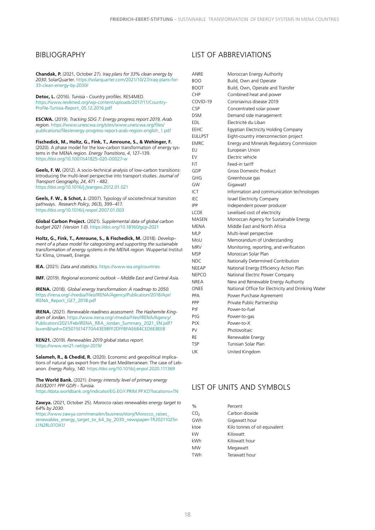#### <span id="page-19-0"></span>BIBLIOGRAPHY

**Chandak, P.** (2021, October 27). *Iraq plans for 33% clean energy by 2030*. SolarQuarter. [https://solarquarter.com/2021/10/27/iraq-plans-for-](https://solarquarter.com/2021/10/27/iraq-plans-for-33-clean-energy-by-2030/)[33-clean-energy-by-2030/](https://solarquarter.com/2021/10/27/iraq-plans-for-33-clean-energy-by-2030/)

**Detoc, L.** (2016). *Tunisia - Country profiles*. RES4MED. [https://www.res4med.org/wp-content/uploads/2017/11/Country-](https://www.res4med.org/wp-content/uploads/2017/11/Country-Profile-Tunisia-Report_05.12.2016.pdf)[Profile-T](https://www.res4med.org/wp-content/uploads/2017/11/Country-Profile-Tunisia-Report_05.12.2016.pdf)unisia-Report\_05.12.2016.pdf

**ESCWA.** (2019). *Tracking SDG 7: Energy progress report 2019, Arab region*. [https://www.unescwa.org/sites/www.unescwa.org/files/](https://www.unescwa.org/sites/www.unescwa.org/files/publications/files/energy-progress-report-arab-region-english_1.pdf) [publications/files/energy-progress-report-arab-region-english\\_1.pdf](https://www.unescwa.org/sites/www.unescwa.org/files/publications/files/energy-progress-report-arab-region-english_1.pdf)

**Fischedick, M., Holtz, G., Fink, T., Amroune, S., & Wehinger, F.**  (2020). A phase model for the low-carbon transformation of energy systems in the MENA region. *Energy Transitions*, *4*, 127–139. <https://doi.org/10.1007/s41825-020-00027-w>

**Geels, F. W.** (2012). A socio-technical analysis of low-carbon transitions: Introducing the multi-level perspective into transport studies. *Journal of Transport Geography*, *24*, 471 - 482. <https://doi.org/10.1016/j.jtrangeo.2012.01.021>

**Geels, F. W., & Schot, J.** (2007). Typology of sociotechnical transition pathways. *Research Policy*, *36*(3), 399–417. <https://doi.org/10.1016/j.respol.2007.01.003>

**Global Carbon Project.** (2021). *Supplemental data of global carbon budget 2021 (Version 1.0)*.<https://doi.org/10.18160/gcp-2021>

**Holtz, G., Fink, T., Amroune, S., & Fischedick, M.** (2018). *Development of a phase model for categorizing and supporting the sustainable transformation of energy systems in the MENA region.* Wuppertal Institut für Klima, Umwelt, Energie.

**IEA.** (2021). *Data and statistics*. <https://www.iea.org/countries>

**IMF.** (2019). *Regional economic outlook – Middle East and Central Asia*.

**IRENA.** (2018). *Global energy transformation: A roadmap to 2050.*  [https://irena.org/-/media/Files/IRENA/Agency/Publication/2018/Apr/](https://irena.org/-/media/Files/IRENA/Agency/Publication/2018/Apr/IRENA_Report_GET_2018.pdf) [IRENA\\_Report\\_GET\\_2018.pdf](https://irena.org/-/media/Files/IRENA/Agency/Publication/2018/Apr/IRENA_Report_GET_2018.pdf)

**IRENA.** (2021). *Renewable readiness assessment: The Hashemite Kingdom of Jordan*. [https://www.irena.org/-/media/Files/IRENA/Agency/](https://www.irena.org/-/media/Files/IRENA/Agency/Publication/2021/Feb/IRENA_RRA_Jordan_Summary_2021_EN.pdf?la=en&hash=DE5015E14770A43E9BFF2DFF8FAE684CED6E8EEB) [Publication/2021/Feb/IRENA\\_RRA\\_Jordan\\_Summary\\_2021\\_EN.pdf?](https://www.irena.org/-/media/Files/IRENA/Agency/Publication/2021/Feb/IRENA_RRA_Jordan_Summary_2021_EN.pdf?la=en&hash=DE5015E14770A43E9BFF2DFF8FAE684CED6E8EEB) [la=en&hash=DE5015E14770A43E9BFF2DFF8FAE684CED6E8EEB](https://www.irena.org/-/media/Files/IRENA/Agency/Publication/2021/Feb/IRENA_RRA_Jordan_Summary_2021_EN.pdf?la=en&hash=DE5015E14770A43E9BFF2DFF8FAE684CED6E8EEB)

**REN21.** (2019). *Renewables 2019 global status report*. <https://www.ren21.net/gsr-2019/>

**Salameh, R., & Chedid, R.** (2020). Economic and geopolitical implications of natural gas export from the East Mediterranean: The case of Lebanon. *Energy Policy*, *140*.<https://doi.org/10.1016/j.enpol.2020.111369>

**The World Bank.** (2021). *Energy intensity level of primary energy (MJ/\$2011 PPP GDP) - Tunisia*. <https://data.worldbank.org/indicator/EG.EGY.PRIM.PP.KD?locations=TN>

**Zawya.** (2021, October 25). *Morocco raises renewables energy target to* 

*64% by 2030*. [https://www.zawya.com/mena/en/business/story/Morocco\\_raises\\_](https://www.zawya.com/mena/en/business/story/Morocco_raises_renewables_energy_target_to_64_by_2030_newspaper-TR20211025nL1N2RL0TOX1/) [renewables\\_energy\\_target\\_to\\_64\\_by\\_2030\\_newspaper-TR20211025n](https://www.zawya.com/mena/en/business/story/Morocco_raises_renewables_energy_target_to_64_by_2030_newspaper-TR20211025nL1N2RL0TOX1/) [L1N2RL0TOX1/](https://www.zawya.com/mena/en/business/story/Morocco_raises_renewables_energy_target_to_64_by_2030_newspaper-TR20211025nL1N2RL0TOX1/)

#### LIST OF ABBREVIATIONS

| ANRE        | Moroccan Energy Authority                          |
|-------------|----------------------------------------------------|
| <b>BOO</b>  | Build, Own and Operate                             |
| <b>BOOT</b> | Build, Own, Operate and Transfer                   |
| CHP         | Combined heat and power                            |
| COVID-19    | Coronavirus disease 2019                           |
| CSP         | Concentrated solar power                           |
| <b>DSM</b>  | Demand side management                             |
| <b>EDL</b>  | Électricité du Liban                               |
| EEHC        | Egyptian Electricity Holding Company               |
| EIJLLPST    | Eight-country interconnection project              |
| <b>EMRC</b> | Energy and Minerals Regulatory Commission          |
| EU          | European Union                                     |
| EV          | Electric vehicle                                   |
| FiT         | Feed-in tariff                                     |
| GDP         | <b>Gross Domestic Product</b>                      |
| GHG         | Greenhouse gas                                     |
| GW          | Gigawatt                                           |
| ICT         | Information and communication technologies         |
| IEC         | Israel Electricity Company                         |
| <b>IPP</b>  | Independent power producer                         |
| LCOE        | Levelised cost of electricity                      |
| MASEN       | Moroccan Agency for Sustainable Energy             |
| MENA        | Middle East and North Africa                       |
| MLP         | Multi-level perspective                            |
| MoU         | Memorandum of Understanding                        |
| MRV         | Monitoring, reporting, and verification            |
| MSP         | Moroccan Solar Plan                                |
| NDC         | Nationally Determined Contribution                 |
| NEEAP       | National Energy Efficiency Action Plan             |
| NEPCO       | National Electric Power Company                    |
| NREA        | New and Renewable Energy Authority                 |
| ONEE        | National Office for Electricity and Drinking Water |
| PPA         | Power Purchase Agreement                           |
| PPP         | Private Public Partnership                         |
| PtF         | Power-to-fuel                                      |
| PtG         | Power-to-gas                                       |
| PtX         | Power-to-X                                         |
| PV          | Photovoltaic                                       |
| RE          | Renewable Energy                                   |
| TSP         | Tunisian Solar Plan                                |
| UK          | United Kinadom                                     |

#### LIST OF UNITS AND SYMBOLS

| $\%$            | Percent                       |
|-----------------|-------------------------------|
| CO <sub>2</sub> | Carbon dioxide                |
| GWh             | Gigawatt hour                 |
| ktoe            | Kilo tonnes of oil equivalent |
| kW              | Kilowatt                      |
| kWh             | Kilowatt hour                 |
| MW              | Megawatt                      |
| TWh             | Terawatt hour                 |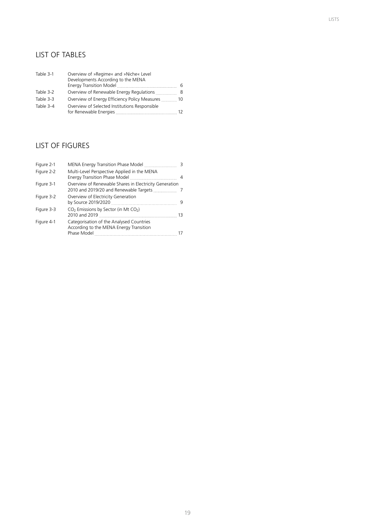### <span id="page-20-0"></span>LIST OF TABLES

| Table 3-1 | Overview of »Regime« and »Niche« Level<br>Developments According to the MENA |    |
|-----------|------------------------------------------------------------------------------|----|
|           |                                                                              | 6  |
| Table 3-2 | Overview of Renewable Energy Regulations                                     | -8 |
| Table 3-3 | Overview of Energy Efficiency Policy Measures                                | 10 |
| Table 3-4 | Overview of Selected Institutions Responsible                                | 12 |

### LIST OF FIGURES

| Figure 2-1 |                                                                                     |    |
|------------|-------------------------------------------------------------------------------------|----|
| Figure 2-2 | Multi-Level Perspective Applied in the MENA                                         |    |
| Figure 3-1 | Overview of Renewable Shares in Electricity Generation                              |    |
| Figure 3-2 | Overview of Electricity Generation                                                  | -9 |
| Figure 3-3 | CO <sub>2</sub> Emissions by Sector (in Mt CO <sub>2</sub> )                        | 13 |
| Figure 4-1 | Categorisation of the Analysed Countries<br>According to the MENA Energy Transition | 17 |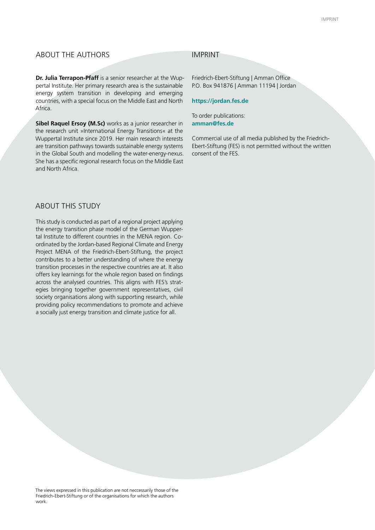#### ABOUT THE AUTHORS IMPRINT

**Dr. Julia Terrapon-Pfaff** is a senior researcher at the Wuppertal Institute. Her primary research area is the sustainable energy system transition in developing and emerging countries, with a special focus on the Middle East and North Africa.

**Sibel Raquel Ersoy [\(M.Sc\)](http://M.Sc)** works as a junior researcher in the research unit »International Energy Transitions« at the Wuppertal Institute since 2019. Her main research interests are transition pathways towards sustainable energy systems in the Global South and modelling the water-energy-nexus. She has a specific regional research focus on the Middle East and North Africa.

Friedrich-Ebert-Stiftung | Amman Office P.O. Box 941876 | Amman 11194 | Jordan

**[https://jordan.fes.de](https://jordan.fes.de/)**

To order publications: **amman@fes.d[e](mailto:fes%40fes-egypt.org%20?subject=)**

Commercial use of all media published by the Friedrich-Ebert-Stiftung (FES) is not permitted without the written consent of the FES.

#### ABOUT THIS STUDY

This study is conducted as part of a regional project applying the energy transition phase model of the German Wuppertal Institute to different countries in the MENA region. Coordinated by the Jordan-based Regional Climate and Energy Project MENA of the Friedrich-Ebert-Stiftung, the project contributes to a better understanding of where the energy transition processes in the respective countries are at. It also offers key learnings for the whole region based on findings across the analysed countries. This aligns with FES's strategies bringing together government representatives, civil society organisations along with supporting research, while providing policy recommendations to promote and achieve a socially just energy transition and climate justice for all.

The views expressed in this publication are not neccessarily those of the Friedrich-Ebert-Stiftung or of the organisations for which the authors work.